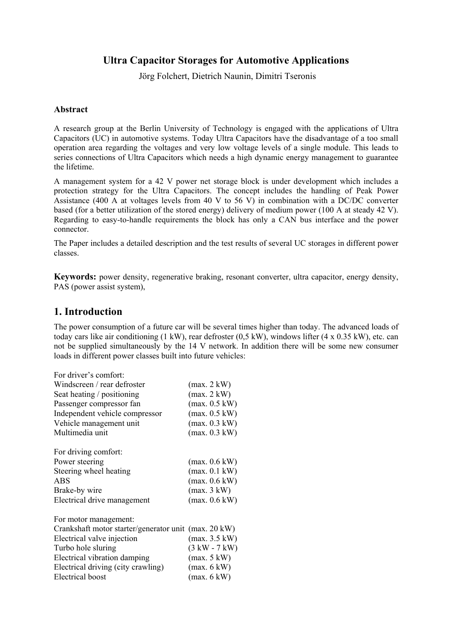## **Ultra Capacitor Storages for Automotive Applications**

Jörg Folchert, Dietrich Naunin, Dimitri Tseronis

#### **Abstract**

A research group at the Berlin University of Technology is engaged with the applications of Ultra Capacitors (UC) in automotive systems. Today Ultra Capacitors have the disadvantage of a too small operation area regarding the voltages and very low voltage levels of a single module. This leads to series connections of Ultra Capacitors which needs a high dynamic energy management to guarantee the lifetime.

A management system for a 42 V power net storage block is under development which includes a protection strategy for the Ultra Capacitors. The concept includes the handling of Peak Power Assistance (400 A at voltages levels from 40 V to 56 V) in combination with a DC/DC converter based (for a better utilization of the stored energy) delivery of medium power (100 A at steady 42 V). Regarding to easy-to-handle requirements the block has only a CAN bus interface and the power connector.

The Paper includes a detailed description and the test results of several UC storages in different power classes.

**Keywords:** power density, regenerative braking, resonant converter, ultra capacitor, energy density, PAS (power assist system),

## **1. Introduction**

The power consumption of a future car will be several times higher than today. The advanced loads of today cars like air conditioning (1 kW), rear defroster (0,5 kW), windows lifter (4 x 0.35 kW), etc. can not be supplied simultaneously by the 14 V network. In addition there will be some new consumer loads in different power classes built into future vehicles:

| For driver's comfort:                                |                 |
|------------------------------------------------------|-----------------|
| Windscreen / rear defroster                          | (max. 2 kW)     |
| Seat heating / positioning                           | (max. 2 kW)     |
| Passenger compressor fan                             | (max. 0.5 kW)   |
| Independent vehicle compressor                       | (max. 0.5 kW)   |
| Vehicle management unit                              | (max. 0.3 kW)   |
| Multimedia unit                                      | (max. 0.3 kW)   |
| For driving comfort:                                 |                 |
| Power steering                                       | (max. 0.6 kW)   |
| Steering wheel heating                               | (max. 0.1 kW)   |
| <b>ABS</b>                                           | (max. 0.6 kW)   |
| Brake-by wire                                        | (max. 3 kW)     |
| Electrical drive management                          | (max. 0.6 kW)   |
| For motor management:                                |                 |
| Crankshaft motor starter/generator unit (max. 20 kW) |                 |
| Electrical valve injection                           | (max. 3.5 kW)   |
| Turbo hole sluring                                   | $(3 kW - 7 kW)$ |
| Electrical vibration damping                         | (max. 5 kW)     |
| Electrical driving (city crawling)                   | (max. 6 kW)     |
| Electrical boost                                     | (max. 6 kW)     |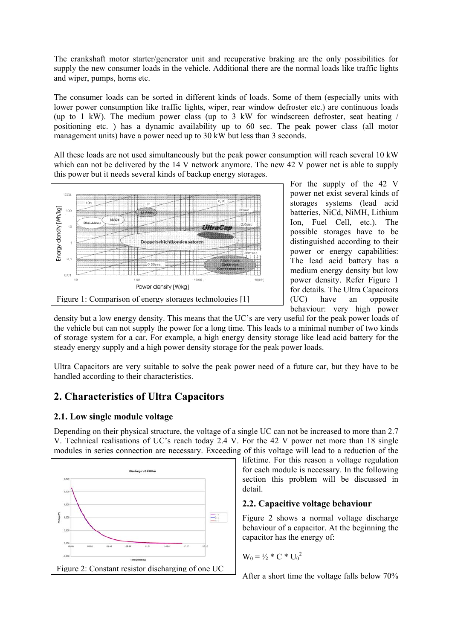The crankshaft motor starter/generator unit and recuperative braking are the only possibilities for supply the new consumer loads in the vehicle. Additional there are the normal loads like traffic lights and wiper, pumps, horns etc.

The consumer loads can be sorted in different kinds of loads. Some of them (especially units with lower power consumption like traffic lights, wiper, rear window defroster etc.) are continuous loads (up to 1 kW). The medium power class (up to 3 kW for windscreen defroster, seat heating / positioning etc. ) has a dynamic availability up to 60 sec. The peak power class (all motor management units) have a power need up to 30 kW but less than 3 seconds.

All these loads are not used simultaneously but the peak power consumption will reach several 10 kW which can not be delivered by the 14 V network anymore. The new 42 V power net is able to supply this power but it needs several kinds of backup energy storages.



For the supply of the 42 V power net exist several kinds of storages systems (lead acid batteries, NiCd, NiMH, Lithium Ion, Fuel Cell, etc.). The possible storages have to be distinguished according to their power or energy capabilities: The lead acid battery has a medium energy density but low power density. Refer Figure 1 for details. The Ultra Capacitors (UC) have an opposite behaviour: very high power

density but a low energy density. This means that the UC's are very useful for the peak power loads of the vehicle but can not supply the power for a long time. This leads to a minimal number of two kinds of storage system for a car. For example, a high energy density storage like lead acid battery for the steady energy supply and a high power density storage for the peak power loads.

Ultra Capacitors are very suitable to solve the peak power need of a future car, but they have to be handled according to their characteristics.

## **2. Characteristics of Ultra Capacitors**

#### **2.1. Low single module voltage**

Depending on their physical structure, the voltage of a single UC can not be increased to more than 2.7 V. Technical realisations of UC's reach today 2.4 V. For the 42 V power net more than 18 single modules in series connection are necessary. Exceeding of this voltage will lead to a reduction of the



lifetime. For this reason a voltage regulation for each module is necessary. In the following section this problem will be discussed in detail.

#### **2.2. Capacitive voltage behaviour**

Figure 2 shows a normal voltage discharge behaviour of a capacitor. At the beginning the capacitor has the energy of:

$$
W_0 = \frac{1}{2} * C * U_0^2
$$

After a short time the voltage falls below 70%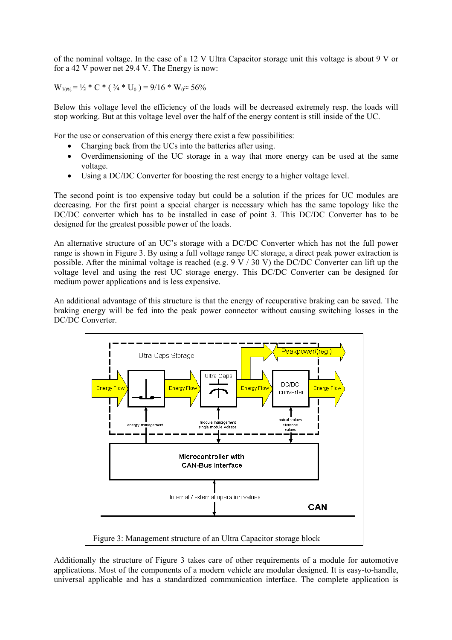of the nominal voltage. In the case of a 12 V Ultra Capacitor storage unit this voltage is about 9 V or for a 42 V power net 29.4 V. The Energy is now:

 $W_{70\%} = \frac{1}{2} * C * ( \frac{3}{4} * U_0 ) = 9/16 * W_0 \approx 56\%$ 

Below this voltage level the efficiency of the loads will be decreased extremely resp. the loads will stop working. But at this voltage level over the half of the energy content is still inside of the UC.

For the use or conservation of this energy there exist a few possibilities:

- Charging back from the UCs into the batteries after using.
- Overdimensioning of the UC storage in a way that more energy can be used at the same voltage.
- Using a DC/DC Converter for boosting the rest energy to a higher voltage level.

The second point is too expensive today but could be a solution if the prices for UC modules are decreasing. For the first point a special charger is necessary which has the same topology like the DC/DC converter which has to be installed in case of point 3. This DC/DC Converter has to be designed for the greatest possible power of the loads.

An alternative structure of an UC's storage with a DC/DC Converter which has not the full power range is shown in Figure 3. By using a full voltage range UC storage, a direct peak power extraction is possible. After the minimal voltage is reached (e.g.  $9 \text{ V} / 30 \text{ V}$ ) the DC/DC Converter can lift up the voltage level and using the rest UC storage energy. This DC/DC Converter can be designed for medium power applications and is less expensive.

An additional advantage of this structure is that the energy of recuperative braking can be saved. The braking energy will be fed into the peak power connector without causing switching losses in the DC/DC Converter.



Additionally the structure of Figure 3 takes care of other requirements of a module for automotive applications. Most of the components of a modern vehicle are modular designed. It is easy-to-handle, universal applicable and has a standardized communication interface. The complete application is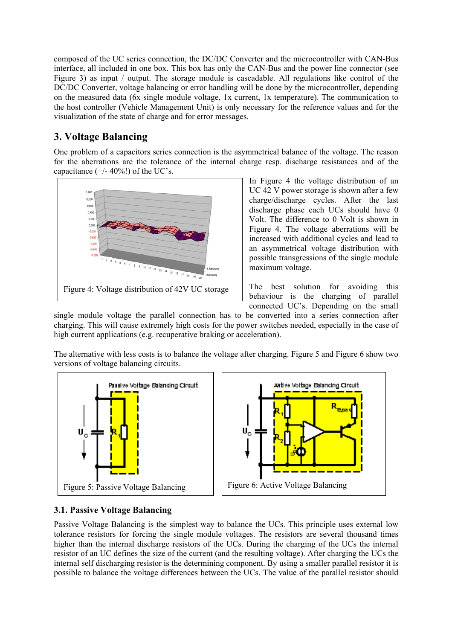composed of the UC series connection, the DC/DC Converter and the microcontroller with CAN-Bus interface, all included in one box. This box has only the CAN-Bus and the power line connector (see Figure 3) as input / output. The storage module is cascadable. All regulations like control of the DC/DC Converter, voltage balancing or error handling will be done by the microcontroller, depending on the measured data (6x single module voltage, 1x current, 1x temperature). The communication to the host controller (Vehicle Management Unit) is only necessary for the reference values and for the visualization of the state of charge and for error messages.

# **3. Voltage Balancing**

One problem of a capacitors series connection is the asymmetrical balance of the voltage. The reason for the aberrations are the tolerance of the internal charge resp. discharge resistances and of the capacitance  $(+/- 40\%/)$  of the UC's.



In Figure 4 the voltage distribution of an UC 42 V power storage is shown after a few charge/discharge cycles. After the last discharge phase each UCs should have 0 Volt. The difference to 0 Volt is shown in Figure 4. The voltage aberrations will be increased with additional cycles and lead to an asymmetrical voltage distribution with possible transgressions of the single module maximum voltage.

The best solution for avoiding this behaviour is the charging of parallel connected UC's. Depending on the small

single module voltage the parallel connection has to be converted into a series connection after charging. This will cause extremely high costs for the power switches needed, especially in the case of high current applications (e.g. recuperative braking or acceleration).

The alternative with less costs is to balance the voltage after charging. Figure 5 and Figure 6 show two versions of voltage balancing circuits.



## **3.1. Passive Voltage Balancing**

Passive Voltage Balancing is the simplest way to balance the UCs. This principle uses external low tolerance resistors for forcing the single module voltages. The resistors are several thousand times higher than the internal discharge resistors of the UCs. During the charging of the UCs the internal resistor of an UC defines the size of the current (and the resulting voltage). After charging the UCs the internal self discharging resistor is the determining component. By using a smaller parallel resistor it is possible to balance the voltage differences between the UCs. The value of the parallel resistor should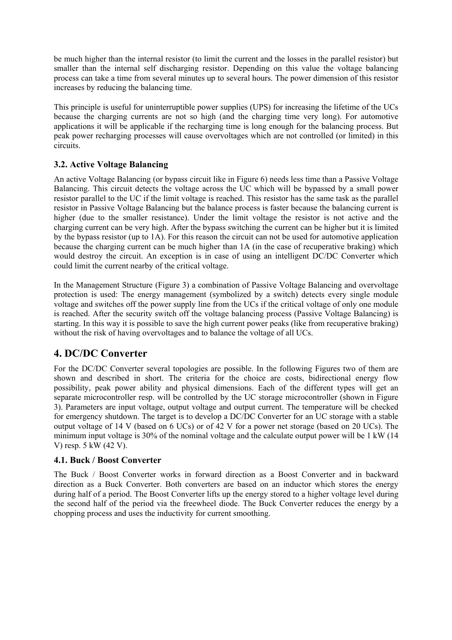be much higher than the internal resistor (to limit the current and the losses in the parallel resistor) but smaller than the internal self discharging resistor. Depending on this value the voltage balancing process can take a time from several minutes up to several hours. The power dimension of this resistor increases by reducing the balancing time.

This principle is useful for uninterruptible power supplies (UPS) for increasing the lifetime of the UCs because the charging currents are not so high (and the charging time very long). For automotive applications it will be applicable if the recharging time is long enough for the balancing process. But peak power recharging processes will cause overvoltages which are not controlled (or limited) in this circuits.

#### **3.2. Active Voltage Balancing**

An active Voltage Balancing (or bypass circuit like in Figure 6) needs less time than a Passive Voltage Balancing. This circuit detects the voltage across the UC which will be bypassed by a small power resistor parallel to the UC if the limit voltage is reached. This resistor has the same task as the parallel resistor in Passive Voltage Balancing but the balance process is faster because the balancing current is higher (due to the smaller resistance). Under the limit voltage the resistor is not active and the charging current can be very high. After the bypass switching the current can be higher but it is limited by the bypass resistor (up to 1A). For this reason the circuit can not be used for automotive application because the charging current can be much higher than 1A (in the case of recuperative braking) which would destroy the circuit. An exception is in case of using an intelligent DC/DC Converter which could limit the current nearby of the critical voltage.

In the Management Structure (Figure 3) a combination of Passive Voltage Balancing and overvoltage protection is used: The energy management (symbolized by a switch) detects every single module voltage and switches off the power supply line from the UCs if the critical voltage of only one module is reached. After the security switch off the voltage balancing process (Passive Voltage Balancing) is starting. In this way it is possible to save the high current power peaks (like from recuperative braking) without the risk of having overvoltages and to balance the voltage of all UCs.

## **4. DC/DC Converter**

For the DC/DC Converter several topologies are possible. In the following Figures two of them are shown and described in short. The criteria for the choice are costs, bidirectional energy flow possibility, peak power ability and physical dimensions. Each of the different types will get an separate microcontroller resp. will be controlled by the UC storage microcontroller (shown in Figure 3). Parameters are input voltage, output voltage and output current. The temperature will be checked for emergency shutdown. The target is to develop a DC/DC Converter for an UC storage with a stable output voltage of 14 V (based on 6 UCs) or of 42 V for a power net storage (based on 20 UCs). The minimum input voltage is 30% of the nominal voltage and the calculate output power will be 1 kW (14 V) resp. 5 kW (42 V).

#### **4.1. Buck / Boost Converter**

The Buck / Boost Converter works in forward direction as a Boost Converter and in backward direction as a Buck Converter. Both converters are based on an inductor which stores the energy during half of a period. The Boost Converter lifts up the energy stored to a higher voltage level during the second half of the period via the freewheel diode. The Buck Converter reduces the energy by a chopping process and uses the inductivity for current smoothing.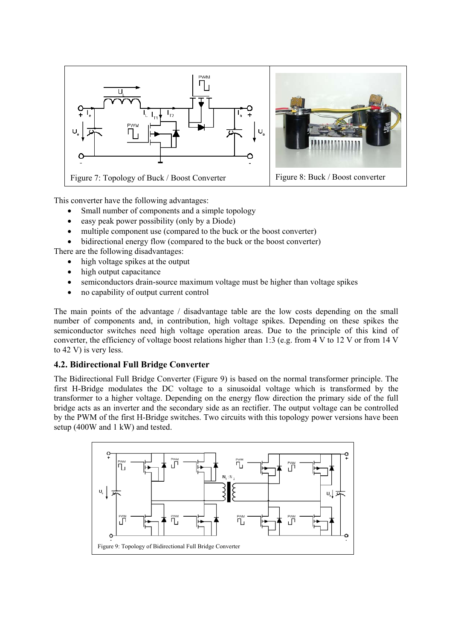

This converter have the following advantages:

- Small number of components and a simple topology
- easy peak power possibility (only by a Diode)
- multiple component use (compared to the buck or the boost converter)
- bidirectional energy flow (compared to the buck or the boost converter)

There are the following disadvantages:

- high voltage spikes at the output
- high output capacitance
- semiconductors drain-source maximum voltage must be higher than voltage spikes
- no capability of output current control

The main points of the advantage / disadvantage table are the low costs depending on the small number of components and, in contribution, high voltage spikes. Depending on these spikes the semiconductor switches need high voltage operation areas. Due to the principle of this kind of converter, the efficiency of voltage boost relations higher than 1:3 (e.g. from 4 V to 12 V or from 14 V to 42 V) is very less.

#### **4.2. Bidirectional Full Bridge Converter**

The Bidirectional Full Bridge Converter (Figure 9) is based on the normal transformer principle. The first H-Bridge modulates the DC voltage to a sinusoidal voltage which is transformed by the transformer to a higher voltage. Depending on the energy flow direction the primary side of the full bridge acts as an inverter and the secondary side as an rectifier. The output voltage can be controlled by the PWM of the first H-Bridge switches. Two circuits with this topology power versions have been setup (400W and 1 kW) and tested.

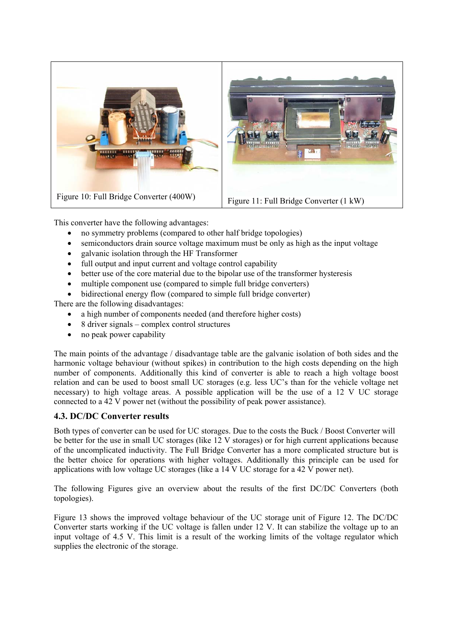

This converter have the following advantages:

- no symmetry problems (compared to other half bridge topologies)
- semiconductors drain source voltage maximum must be only as high as the input voltage
- galvanic isolation through the HF Transformer
- full output and input current and voltage control capability
- better use of the core material due to the bipolar use of the transformer hysteresis
- multiple component use (compared to simple full bridge converters)
- bidirectional energy flow (compared to simple full bridge converter)

There are the following disadvantages:

- a high number of components needed (and therefore higher costs)
- 8 driver signals complex control structures
- no peak power capability

The main points of the advantage / disadvantage table are the galvanic isolation of both sides and the harmonic voltage behaviour (without spikes) in contribution to the high costs depending on the high number of components. Additionally this kind of converter is able to reach a high voltage boost relation and can be used to boost small UC storages (e.g. less UC's than for the vehicle voltage net necessary) to high voltage areas. A possible application will be the use of a 12 V UC storage connected to a 42 V power net (without the possibility of peak power assistance).

#### **4.3. DC/DC Converter results**

Both types of converter can be used for UC storages. Due to the costs the Buck / Boost Converter will be better for the use in small UC storages (like 12 V storages) or for high current applications because of the uncomplicated inductivity. The Full Bridge Converter has a more complicated structure but is the better choice for operations with higher voltages. Additionally this principle can be used for applications with low voltage UC storages (like a 14 V UC storage for a 42 V power net).

The following Figures give an overview about the results of the first DC/DC Converters (both topologies).

Figure 13 shows the improved voltage behaviour of the UC storage unit of Figure 12. The DC/DC Converter starts working if the UC voltage is fallen under 12 V. It can stabilize the voltage up to an input voltage of 4.5 V. This limit is a result of the working limits of the voltage regulator which supplies the electronic of the storage.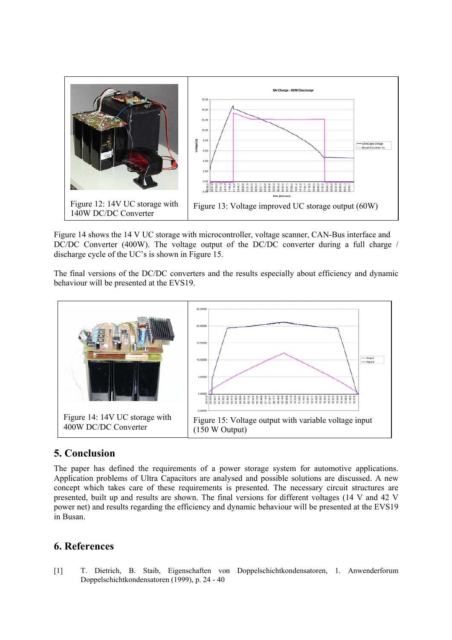

Figure 14 shows the 14 V UC storage with microcontroller, voltage scanner, CAN-Bus interface and DC/DC Converter (400W). The voltage output of the DC/DC converter during a full charge / discharge cycle of the UC's is shown in Figure 15.

The final versions of the DC/DC converters and the results especially about efficiency and dynamic behaviour will be presented at the EVS19.



## **5. Conclusion**

The paper has defined the requirements of a power storage system for automotive applications. Application problems of Ultra Capacitors are analysed and possible solutions are discussed. A new concept which takes care of these requirements is presented. The necessary circuit structures are presented, built up and results are shown. The final versions for different voltages (14 V and 42 V power net) and results regarding the efficiency and dynamic behaviour will be presented at the EVS19 in Busan.

## **6. References**

[1] T. Dietrich, B. Staib, Eigenschaften von Doppelschichtkondensatoren, 1. Anwenderforum Doppelschichtkondensatoren (1999), p. 24 - 40